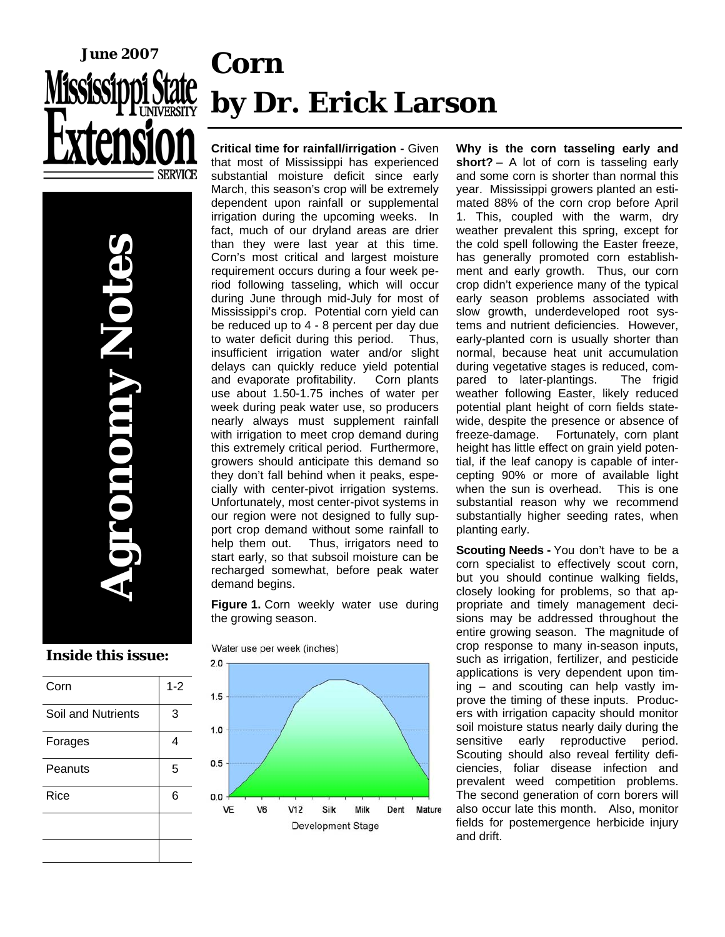

# **Corn by Dr. Erick Larson**

**Agronomy Notes**  OTOOTOV

### **Inside this issue:**

| Corn               | $1 - 2$ |
|--------------------|---------|
| Soil and Nutrients | 3       |
| Forages            | 4       |
| Peanuts            | 5       |
| Rice               | 6       |
|                    |         |
|                    |         |

**Critical time for rainfall/irrigation -** Given that most of Mississippi has experienced substantial moisture deficit since early March, this season's crop will be extremely dependent upon rainfall or supplemental irrigation during the upcoming weeks. In fact, much of our dryland areas are drier than they were last year at this time. Corn's most critical and largest moisture requirement occurs during a four week period following tasseling, which will occur during June through mid-July for most of Mississippi's crop. Potential corn yield can be reduced up to 4 - 8 percent per day due to water deficit during this period. Thus, insufficient irrigation water and/or slight delays can quickly reduce yield potential and evaporate profitability. Corn plants use about 1.50-1.75 inches of water per week during peak water use, so producers nearly always must supplement rainfall with irrigation to meet crop demand during this extremely critical period. Furthermore, growers should anticipate this demand so they don't fall behind when it peaks, especially with center-pivot irrigation systems. Unfortunately, most center-pivot systems in our region were not designed to fully support crop demand without some rainfall to help them out. Thus, irrigators need to start early, so that subsoil moisture can be recharged somewhat, before peak water demand begins.

**Figure 1.** Corn weekly water use during the growing season.

Water use per week (inches)



**Why is the corn tasseling early and short?** – A lot of corn is tasseling early and some corn is shorter than normal this year. Mississippi growers planted an estimated 88% of the corn crop before April 1. This, coupled with the warm, dry weather prevalent this spring, except for the cold spell following the Easter freeze, has generally promoted corn establishment and early growth. Thus, our corn crop didn't experience many of the typical early season problems associated with slow growth, underdeveloped root systems and nutrient deficiencies. However, early-planted corn is usually shorter than normal, because heat unit accumulation during vegetative stages is reduced, compared to later-plantings. The frigid weather following Easter, likely reduced potential plant height of corn fields statewide, despite the presence or absence of freeze-damage. Fortunately, corn plant height has little effect on grain yield potential, if the leaf canopy is capable of intercepting 90% or more of available light when the sun is overhead. This is one substantial reason why we recommend substantially higher seeding rates, when planting early.

**Scouting Needs -** You don't have to be a corn specialist to effectively scout corn, but you should continue walking fields, closely looking for problems, so that appropriate and timely management decisions may be addressed throughout the entire growing season. The magnitude of crop response to many in-season inputs, such as irrigation, fertilizer, and pesticide applications is very dependent upon timing – and scouting can help vastly improve the timing of these inputs. Producers with irrigation capacity should monitor soil moisture status nearly daily during the sensitive early reproductive period. Scouting should also reveal fertility deficiencies, foliar disease infection and prevalent weed competition problems. The second generation of corn borers will also occur late this month. Also, monitor fields for postemergence herbicide injury and drift.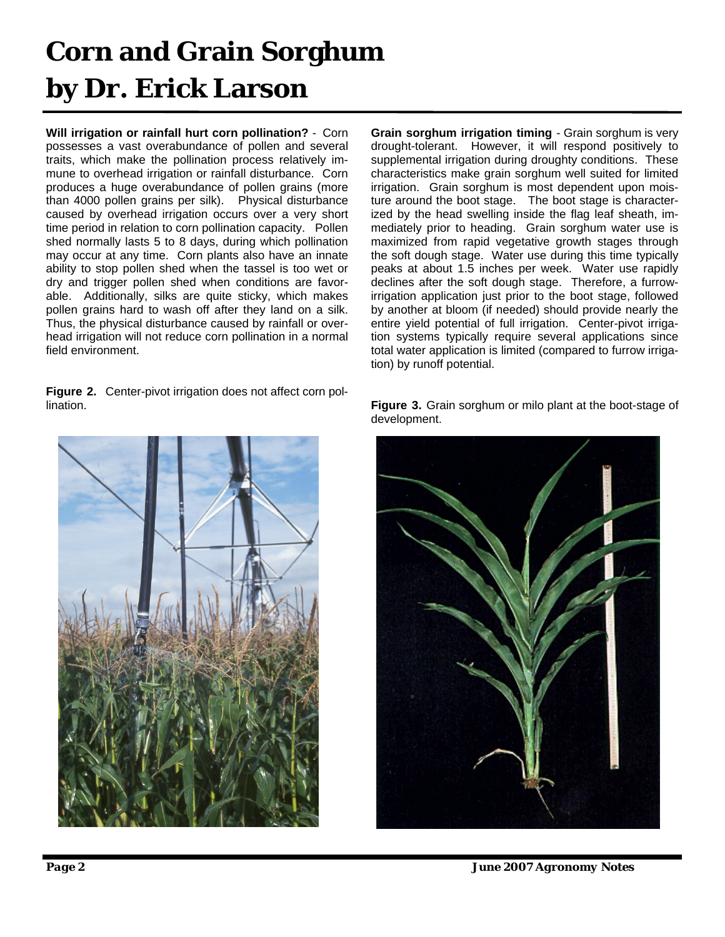# **Corn and Grain Sorghum by Dr. Erick Larson**

**Will irrigation or rainfall hurt corn pollination?** - Corn possesses a vast overabundance of pollen and several traits, which make the pollination process relatively immune to overhead irrigation or rainfall disturbance. Corn produces a huge overabundance of pollen grains (more than 4000 pollen grains per silk). Physical disturbance caused by overhead irrigation occurs over a very short time period in relation to corn pollination capacity. Pollen shed normally lasts 5 to 8 days, during which pollination may occur at any time. Corn plants also have an innate ability to stop pollen shed when the tassel is too wet or dry and trigger pollen shed when conditions are favorable. Additionally, silks are quite sticky, which makes pollen grains hard to wash off after they land on a silk. Thus, the physical disturbance caused by rainfall or overhead irrigation will not reduce corn pollination in a normal field environment.

**Figure 2.** Center-pivot irrigation does not affect corn pollination.



**Grain sorghum irrigation timing** - Grain sorghum is very drought-tolerant. However, it will respond positively to supplemental irrigation during droughty conditions. These characteristics make grain sorghum well suited for limited irrigation. Grain sorghum is most dependent upon moisture around the boot stage. The boot stage is characterized by the head swelling inside the flag leaf sheath, immediately prior to heading. Grain sorghum water use is maximized from rapid vegetative growth stages through the soft dough stage. Water use during this time typically peaks at about 1.5 inches per week. Water use rapidly declines after the soft dough stage. Therefore, a furrowirrigation application just prior to the boot stage, followed by another at bloom (if needed) should provide nearly the entire yield potential of full irrigation. Center-pivot irrigation systems typically require several applications since total water application is limited (compared to furrow irrigation) by runoff potential.

**Figure 3.** Grain sorghum or milo plant at the boot-stage of development.



*Page 2 June 2007 Agronomy Notes*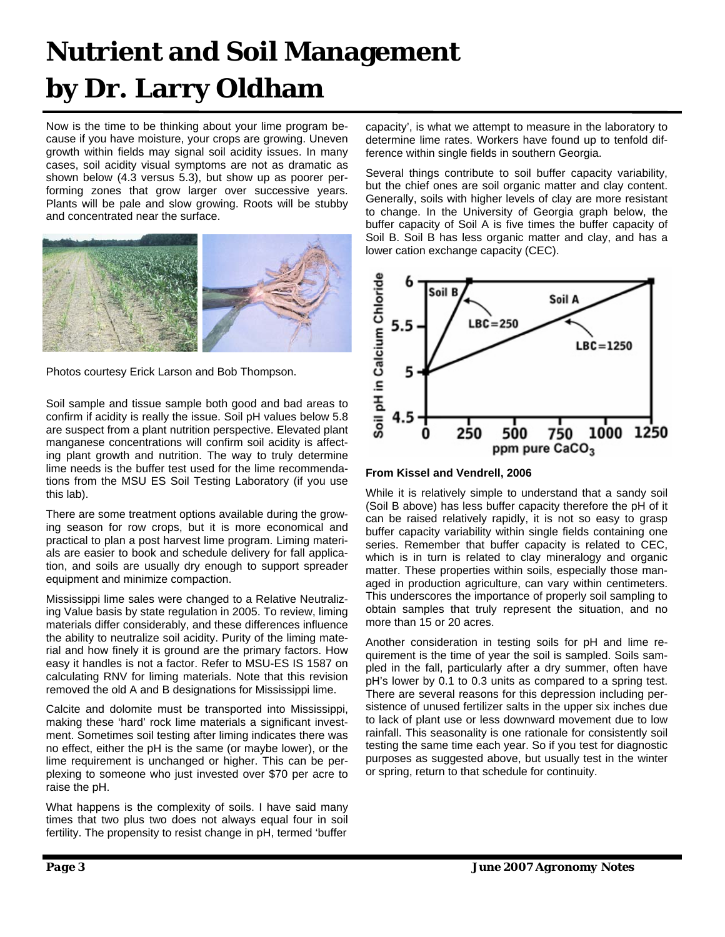# **Nutrient and Soil Management by Dr. Larry Oldham**

Now is the time to be thinking about your lime program because if you have moisture, your crops are growing. Uneven growth within fields may signal soil acidity issues. In many cases, soil acidity visual symptoms are not as dramatic as shown below (4.3 versus 5.3), but show up as poorer performing zones that grow larger over successive years. Plants will be pale and slow growing. Roots will be stubby and concentrated near the surface.



Photos courtesy Erick Larson and Bob Thompson.

Soil sample and tissue sample both good and bad areas to confirm if acidity is really the issue. Soil pH values below 5.8 are suspect from a plant nutrition perspective. Elevated plant manganese concentrations will confirm soil acidity is affecting plant growth and nutrition. The way to truly determine lime needs is the buffer test used for the lime recommendations from the MSU ES Soil Testing Laboratory (if you use this lab).

There are some treatment options available during the growing season for row crops, but it is more economical and practical to plan a post harvest lime program. Liming materials are easier to book and schedule delivery for fall application, and soils are usually dry enough to support spreader equipment and minimize compaction.

Mississippi lime sales were changed to a Relative Neutralizing Value basis by state regulation in 2005. To review, liming materials differ considerably, and these differences influence the ability to neutralize soil acidity. Purity of the liming material and how finely it is ground are the primary factors. How easy it handles is not a factor. Refer to MSU-ES IS 1587 on calculating RNV for liming materials. Note that this revision removed the old A and B designations for Mississippi lime.

Calcite and dolomite must be transported into Mississippi, making these 'hard' rock lime materials a significant investment. Sometimes soil testing after liming indicates there was no effect, either the pH is the same (or maybe lower), or the lime requirement is unchanged or higher. This can be perplexing to someone who just invested over \$70 per acre to raise the pH.

What happens is the complexity of soils. I have said many times that two plus two does not always equal four in soil fertility. The propensity to resist change in pH, termed 'buffer

capacity', is what we attempt to measure in the laboratory to determine lime rates. Workers have found up to tenfold difference within single fields in southern Georgia.

Several things contribute to soil buffer capacity variability, but the chief ones are soil organic matter and clay content. Generally, soils with higher levels of clay are more resistant to change. In the University of Georgia graph below, the buffer capacity of Soil A is five times the buffer capacity of Soil B. Soil B has less organic matter and clay, and has a lower cation exchange capacity (CEC).



**From Kissel and Vendrell, 2006** 

While it is relatively simple to understand that a sandy soil (Soil B above) has less buffer capacity therefore the pH of it can be raised relatively rapidly, it is not so easy to grasp buffer capacity variability within single fields containing one series. Remember that buffer capacity is related to CEC, which is in turn is related to clay mineralogy and organic matter. These properties within soils, especially those managed in production agriculture, can vary within centimeters. This underscores the importance of properly soil sampling to obtain samples that truly represent the situation, and no more than 15 or 20 acres.

Another consideration in testing soils for pH and lime requirement is the time of year the soil is sampled. Soils sampled in the fall, particularly after a dry summer, often have pH's lower by 0.1 to 0.3 units as compared to a spring test. There are several reasons for this depression including persistence of unused fertilizer salts in the upper six inches due to lack of plant use or less downward movement due to low rainfall. This seasonality is one rationale for consistently soil testing the same time each year. So if you test for diagnostic purposes as suggested above, but usually test in the winter or spring, return to that schedule for continuity.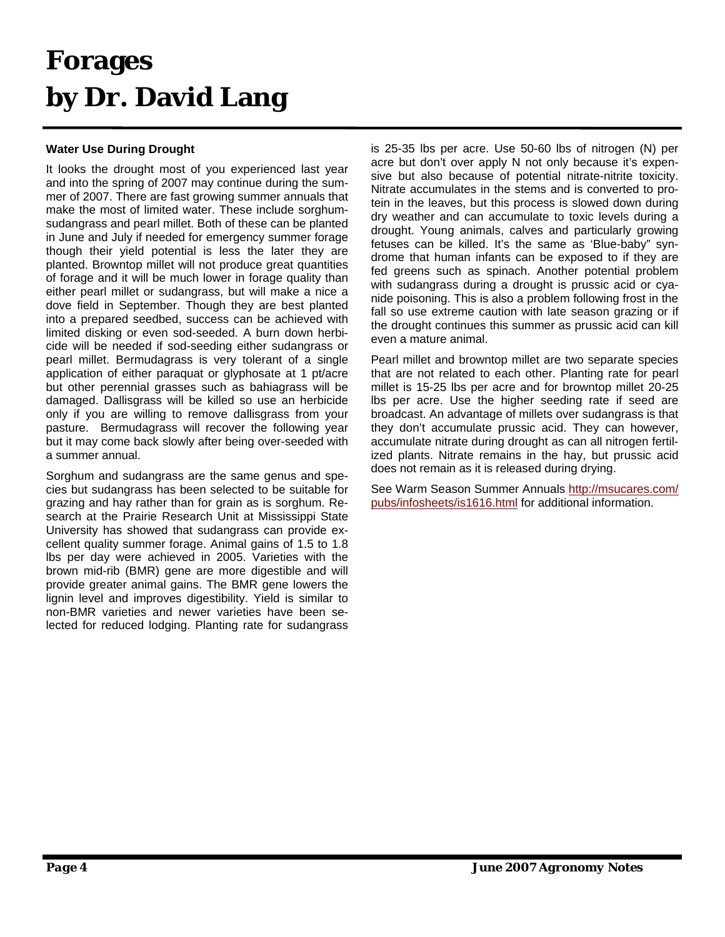### **Forages by Dr. David Lang**

### **Water Use During Drought**

It looks the drought most of you experienced last year and into the spring of 2007 may continue during the summer of 2007. There are fast growing summer annuals that make the most of limited water. These include sorghumsudangrass and pearl millet. Both of these can be planted in June and July if needed for emergency summer forage though their yield potential is less the later they are planted. Browntop millet will not produce great quantities of forage and it will be much lower in forage quality than either pearl millet or sudangrass, but will make a nice a dove field in September. Though they are best planted into a prepared seedbed, success can be achieved with limited disking or even sod-seeded. A burn down herbicide will be needed if sod-seeding either sudangrass or pearl millet. Bermudagrass is very tolerant of a single application of either paraquat or glyphosate at 1 pt/acre but other perennial grasses such as bahiagrass will be damaged. Dallisgrass will be killed so use an herbicide only if you are willing to remove dallisgrass from your pasture. Bermudagrass will recover the following year but it may come back slowly after being over-seeded with a summer annual.

Sorghum and sudangrass are the same genus and species but sudangrass has been selected to be suitable for grazing and hay rather than for grain as is sorghum. Research at the Prairie Research Unit at Mississippi State University has showed that sudangrass can provide excellent quality summer forage. Animal gains of 1.5 to 1.8 lbs per day were achieved in 2005. Varieties with the brown mid-rib (BMR) gene are more digestible and will provide greater animal gains. The BMR gene lowers the lignin level and improves digestibility. Yield is similar to non-BMR varieties and newer varieties have been selected for reduced lodging. Planting rate for sudangrass

is 25-35 lbs per acre. Use 50-60 lbs of nitrogen (N) per acre but don't over apply N not only because it's expensive but also because of potential nitrate-nitrite toxicity. Nitrate accumulates in the stems and is converted to protein in the leaves, but this process is slowed down during dry weather and can accumulate to toxic levels during a drought. Young animals, calves and particularly growing fetuses can be killed. It's the same as 'Blue-baby" syndrome that human infants can be exposed to if they are fed greens such as spinach. Another potential problem with sudangrass during a drought is prussic acid or cyanide poisoning. This is also a problem following frost in the fall so use extreme caution with late season grazing or if the drought continues this summer as prussic acid can kill even a mature animal.

Pearl millet and browntop millet are two separate species that are not related to each other. Planting rate for pearl millet is 15-25 lbs per acre and for browntop millet 20-25 lbs per acre. Use the higher seeding rate if seed are broadcast. An advantage of millets over sudangrass is that they don't accumulate prussic acid. They can however, accumulate nitrate during drought as can all nitrogen fertilized plants. Nitrate remains in the hay, but prussic acid does not remain as it is released during drying.

See Warm Season Summer Annuals [http://msucares.com/](http://msucares.com/pubs/infosheets/is1616.html) [pubs/infosheets/is1616.htm](http://msucares.com/pubs/infosheets/is1616.html)l for additional information.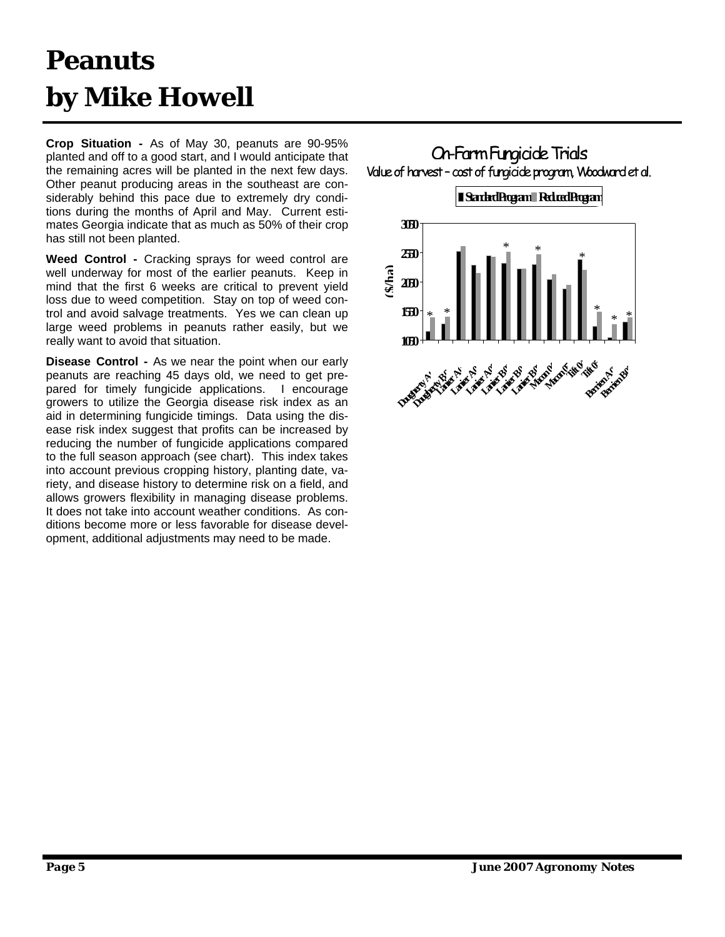# **Peanuts by Mike Howell**

**Crop Situation -** As of May 30, peanuts are 90-95% planted and off to a good start, and I would anticipate that the remaining acres will be planted in the next few days. Other peanut producing areas in the southeast are considerably behind this pace due to extremely dry conditions during the months of April and May. Current estimates Georgia indicate that as much as 50% of their crop has still not been planted.

**Weed Control -** Cracking sprays for weed control are well underway for most of the earlier peanuts. Keep in mind that the first 6 weeks are critical to prevent yield loss due to weed competition. Stay on top of weed control and avoid salvage treatments. Yes we can clean up large weed problems in peanuts rather easily, but we really want to avoid that situation.

**Disease Control -** As we near the point when our early peanuts are reaching 45 days old, we need to get prepared for timely fungicide applications. I encourage growers to utilize the Georgia disease risk index as an aid in determining fungicide timings. Data using the disease risk index suggest that profits can be increased by reducing the number of fungicide applications compared to the full season approach (see chart). This index takes into account previous cropping history, planting date, variety, and disease history to determine risk on a field, and allows growers flexibility in managing disease problems. It does not take into account weather conditions. As conditions become more or less favorable for disease development, additional adjustments may need to be made.